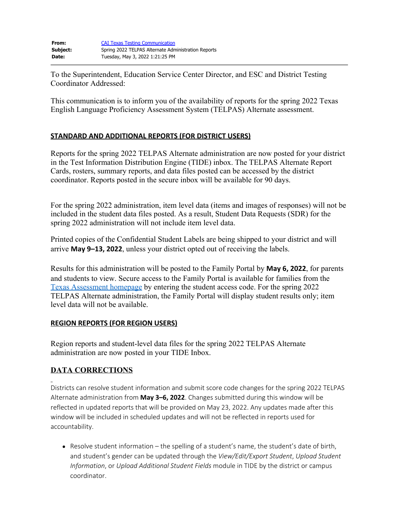To the Superintendent, Education Service Center Director, and ESC and District Testing Coordinator Addressed:

This communication is to inform you of the availability of reports for the spring 2022 Texas English Language Proficiency Assessment System (TELPAS) Alternate assessment.

## **STANDARD AND ADDITIONAL REPORTS (FOR DISTRICT USERS)**

Reports for the spring 2022 TELPAS Alternate administration are now posted for your district in the Test Information Distribution Engine (TIDE) inbox. The TELPAS Alternate Report Cards, rosters, summary reports, and data files posted can be accessed by the district coordinator. Reports posted in the secure inbox will be available for 90 days.

For the spring 2022 administration, item level data (items and images of responses) will not be included in the student data files posted. As a result, Student Data Requests (SDR) for the spring 2022 administration will not include item level data.

Printed copies of the Confidential Student Labels are being shipped to your district and will arrive **May 9–13, 2022**, unless your district opted out of receiving the labels.

Results for this administration will be posted to the Family Portal by **May 6, 2022**, for parents and students to view. Secure access to the Family Portal is available for families from the [Texas Assessment homepage](https://www.texasassessment.gov/) by entering the student access code. For the spring 2022 TELPAS Alternate administration, the Family Portal will display student results only; item level data will not be available.

## **REGION REPORTS (FOR REGION USERS)**

Region reports and student-level data files for the spring 2022 TELPAS Alternate administration are now posted in your TIDE Inbox.

## **DATA CORRECTIONS**

Districts can resolve student information and submit score code changes for the spring 2022 TELPAS Alternate administration from **May 3–6, 2022**. Changes submitted during this window will be reflected in updated reports that will be provided on May 23, 2022. Any updates made after this window will be included in scheduled updates and will not be reflected in reports used for accountability.

• Resolve student information – the spelling of a student's name, the student's date of birth, and student's gender can be updated through the *View/Edit/Export Student*, *Upload Student Information*, or *Upload Additional Student Fields* module in TIDE by the district or campus coordinator.